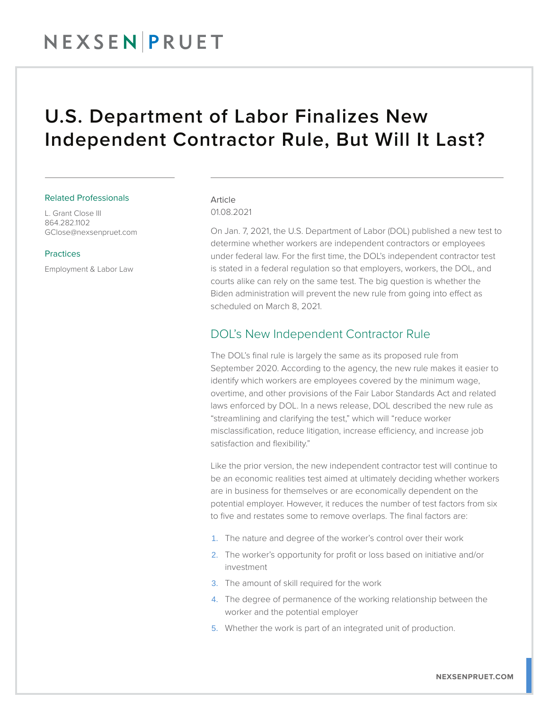## NEXSENPRUET

## U.S. Department of Labor Finalizes New Independent Contractor Rule, But Will It Last?

#### Related Professionals

L. Grant Close III 864.282.1102 GClose@nexsenpruet.com

#### Practices

Employment & Labor Law

#### Article 01.08.2021

On Jan. 7, 2021, the U.S. Department of Labor (DOL) published a new test to determine whether workers are independent contractors or employees under federal law. For the first time, the DOL's independent contractor test is stated in a federal regulation so that employers, workers, the DOL, and courts alike can rely on the same test. The big question is whether the Biden administration will prevent the new rule from going into effect as scheduled on March 8, 2021.

### DOL's New Independent Contractor Rule

The DOL's final rule is largely the same as its proposed rule from September 2020. According to the agency, the new rule makes it easier to identify which workers are employees covered by the minimum wage, overtime, and other provisions of the Fair Labor Standards Act and related laws enforced by DOL. In a news release, DOL described the new rule as "streamlining and clarifying the test," which will "reduce worker misclassification, reduce litigation, increase efficiency, and increase job satisfaction and flexibility."

Like the prior version, the new independent contractor test will continue to be an economic realities test aimed at ultimately deciding whether workers are in business for themselves or are economically dependent on the potential employer. However, it reduces the number of test factors from six to five and restates some to remove overlaps. The final factors are:

- 1. The nature and degree of the worker's control over their work
- 2. The worker's opportunity for profit or loss based on initiative and/or investment
- 3. The amount of skill required for the work
- 4. The degree of permanence of the working relationship between the worker and the potential employer
- 5. Whether the work is part of an integrated unit of production.